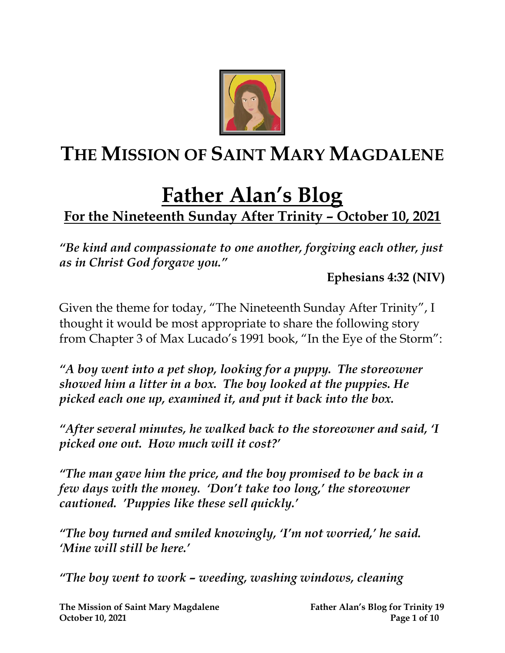

## **THE MISSION OF SAINT MARY MAGDALENE**

# **Father Alan's Blog**

## **For the Nineteenth Sunday After Trinity – October 10, 2021**

*"Be kind and compassionate to one another, forgiving each other, just as in Christ God forgave you."*

**Ephesians 4:32 (NIV)**

Given the theme for today, "The Nineteenth Sunday After Trinity", I thought it would be most appropriate to share the following story from Chapter 3 of Max Lucado's 1991 book, "In the Eye of the Storm":

*"A boy went into a pet shop, looking for a puppy. The storeowner showed him a litter in a box. The boy looked at the puppies. He picked each one up, examined it, and put it back into the box.* 

*"After several minutes, he walked back to the storeowner and said, 'I picked one out. How much will it cost?'*

*"The man gave him the price, and the boy promised to be back in a few days with the money. 'Don't take too long,' the storeowner cautioned. 'Puppies like these sell quickly.'*

*"The boy turned and smiled knowingly, 'I'm not worried,' he said. 'Mine will still be here.'*

*"The boy went to work – weeding, washing windows, cleaning*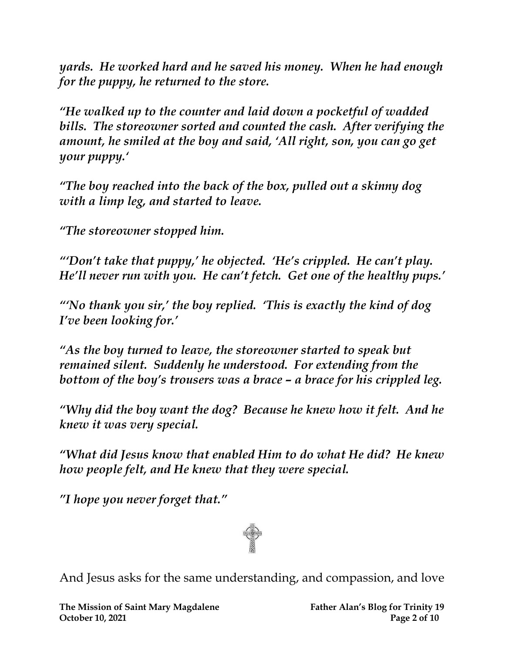*yards. He worked hard and he saved his money. When he had enough for the puppy, he returned to the store.* 

*"He walked up to the counter and laid down a pocketful of wadded bills. The storeowner sorted and counted the cash. After verifying the amount, he smiled at the boy and said, 'All right, son, you can go get your puppy.'*

*"The boy reached into the back of the box, pulled out a skinny dog with a limp leg, and started to leave.* 

*"The storeowner stopped him.*

*"'Don't take that puppy,' he objected. 'He's crippled. He can't play. He'll never run with you. He can't fetch. Get one of the healthy pups.'*

*"'No thank you sir,' the boy replied. 'This is exactly the kind of dog I've been looking for.'*

*"As the boy turned to leave, the storeowner started to speak but remained silent. Suddenly he understood. For extending from the bottom of the boy's trousers was a brace – a brace for his crippled leg.*

*"Why did the boy want the dog? Because he knew how it felt. And he knew it was very special.*

*"What did Jesus know that enabled Him to do what He did? He knew how people felt, and He knew that they were special.*

*"I hope you never forget that."*



And Jesus asks for the same understanding, and compassion, and love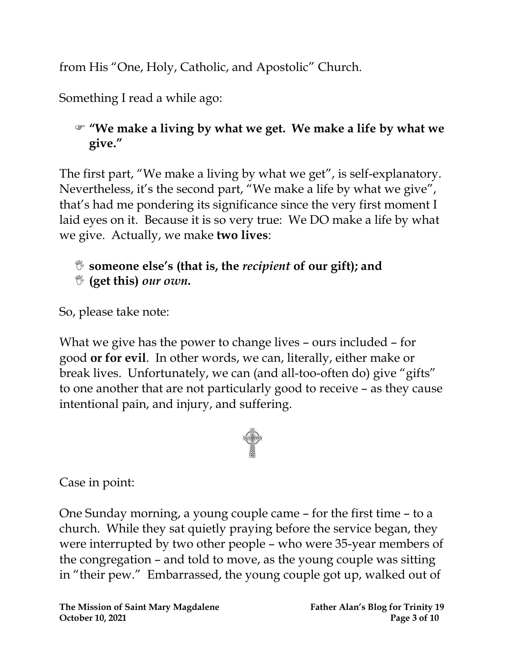from His "One, Holy, Catholic, and Apostolic" Church.

Something I read a while ago:

### **"We make a living by what we get. We make a life by what we give."**

The first part, "We make a living by what we get", is self-explanatory. Nevertheless, it's the second part, "We make a life by what we give", that's had me pondering its significance since the very first moment I laid eyes on it. Because it is so very true: We DO make a life by what we give. Actually, we make **two lives**:

#### **someone else's (that is, the** *recipient* **of our gift); and (get this)** *our own***.**

So, please take note:

What we give has the power to change lives – ours included – for good **or for evil**. In other words, we can, literally, either make or break lives. Unfortunately, we can (and all-too-often do) give "gifts" to one another that are not particularly good to receive – as they cause intentional pain, and injury, and suffering.



Case in point:

One Sunday morning, a young couple came – for the first time – to a church. While they sat quietly praying before the service began, they were interrupted by two other people – who were 35-year members of the congregation – and told to move, as the young couple was sitting in "their pew." Embarrassed, the young couple got up, walked out of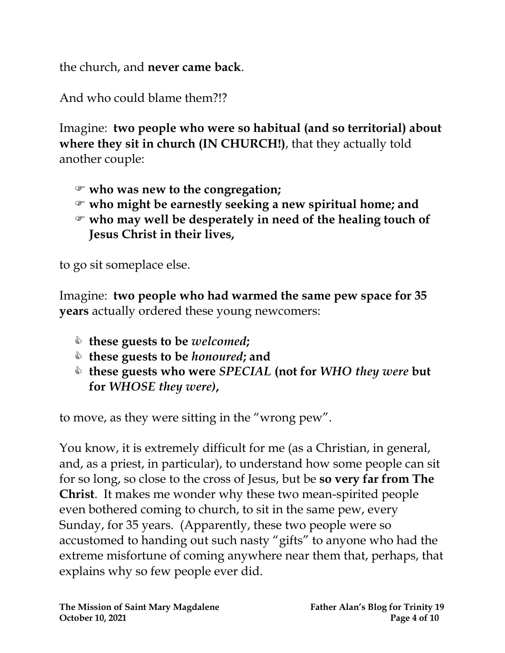the church, and **never came back**.

And who could blame them?!?

Imagine: **two people who were so habitual (and so territorial) about where they sit in church (IN CHURCH!)**, that they actually told another couple:

- **who was new to the congregation;**
- **who might be earnestly seeking a new spiritual home; and**
- **who may well be desperately in need of the healing touch of Jesus Christ in their lives,**

to go sit someplace else.

Imagine: **two people who had warmed the same pew space for 35 years** actually ordered these young newcomers:

- **these guests to be** *welcomed***;**
- **these guests to be** *honoured***; and**
- **these guests who were** *SPECIAL* **(not for** *WHO they were* **but for** *WHOSE they were)***,**

to move, as they were sitting in the "wrong pew".

You know, it is extremely difficult for me (as a Christian, in general, and, as a priest, in particular), to understand how some people can sit for so long, so close to the cross of Jesus, but be **so very far from The Christ**. It makes me wonder why these two mean-spirited people even bothered coming to church, to sit in the same pew, every Sunday, for 35 years. (Apparently, these two people were so accustomed to handing out such nasty "gifts" to anyone who had the extreme misfortune of coming anywhere near them that, perhaps, that explains why so few people ever did.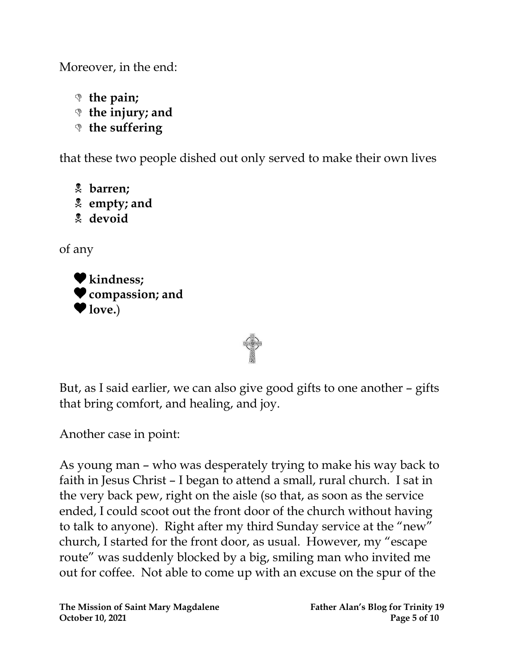Moreover, in the end:

- **the pain;**
- **the injury; and**
- **the suffering**

that these two people dished out only served to make their own lives

- **barren;**
- **empty; and**
- **devoid**

of any





Another case in point:

As young man – who was desperately trying to make his way back to faith in Jesus Christ – I began to attend a small, rural church. I sat in the very back pew, right on the aisle (so that, as soon as the service ended, I could scoot out the front door of the church without having to talk to anyone). Right after my third Sunday service at the "new" church, I started for the front door, as usual. However, my "escape route" was suddenly blocked by a big, smiling man who invited me out for coffee. Not able to come up with an excuse on the spur of the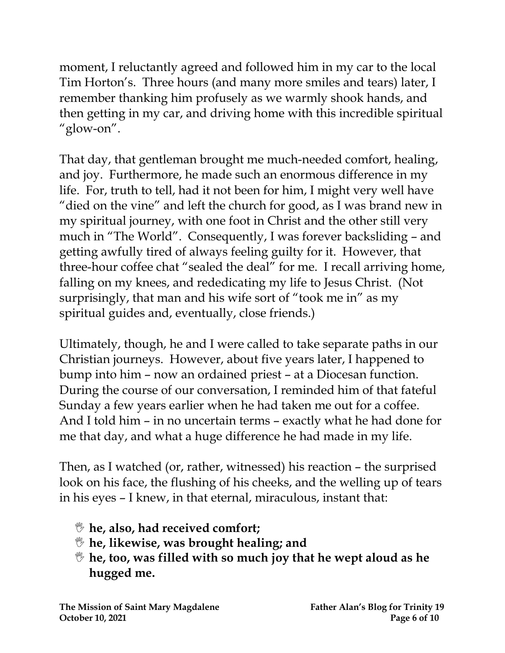moment, I reluctantly agreed and followed him in my car to the local Tim Horton's. Three hours (and many more smiles and tears) later, I remember thanking him profusely as we warmly shook hands, and then getting in my car, and driving home with this incredible spiritual "glow-on".

That day, that gentleman brought me much-needed comfort, healing, and joy. Furthermore, he made such an enormous difference in my life. For, truth to tell, had it not been for him, I might very well have "died on the vine" and left the church for good, as I was brand new in my spiritual journey, with one foot in Christ and the other still very much in "The World". Consequently, I was forever backsliding – and getting awfully tired of always feeling guilty for it. However, that three-hour coffee chat "sealed the deal" for me. I recall arriving home, falling on my knees, and rededicating my life to Jesus Christ. (Not surprisingly, that man and his wife sort of "took me in" as my spiritual guides and, eventually, close friends.)

Ultimately, though, he and I were called to take separate paths in our Christian journeys. However, about five years later, I happened to bump into him – now an ordained priest – at a Diocesan function. During the course of our conversation, I reminded him of that fateful Sunday a few years earlier when he had taken me out for a coffee. And I told him – in no uncertain terms – exactly what he had done for me that day, and what a huge difference he had made in my life.

Then, as I watched (or, rather, witnessed) his reaction – the surprised look on his face, the flushing of his cheeks, and the welling up of tears in his eyes – I knew, in that eternal, miraculous, instant that:

- **he, also, had received comfort;**
- **he, likewise, was brought healing; and**
- **he, too, was filled with so much joy that he wept aloud as he hugged me.**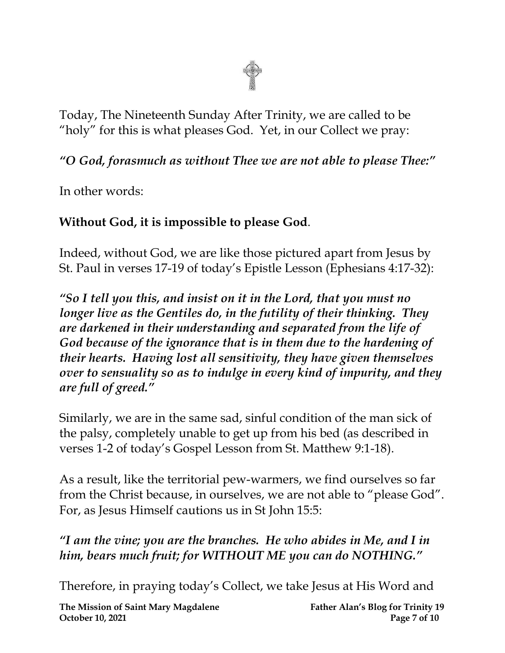

Today, The Nineteenth Sunday After Trinity, we are called to be "holy" for this is what pleases God. Yet, in our Collect we pray:

*"O God, forasmuch as without Thee we are not able to please Thee:"*

In other words:

#### **Without God, it is impossible to please God**.

Indeed, without God, we are like those pictured apart from Jesus by St. Paul in verses 17-19 of today's Epistle Lesson (Ephesians 4:17-32):

*"So I tell you this, and insist on it in the Lord, that you must no longer live as the Gentiles do, in the futility of their thinking. They are darkened in their understanding and separated from the life of God because of the ignorance that is in them due to the hardening of their hearts. Having lost all sensitivity, they have given themselves over to sensuality so as to indulge in every kind of impurity, and they are full of greed."*

Similarly, we are in the same sad, sinful condition of the man sick of the palsy, completely unable to get up from his bed (as described in verses 1-2 of today's Gospel Lesson from St. Matthew 9:1-18).

As a result, like the territorial pew-warmers, we find ourselves so far from the Christ because, in ourselves, we are not able to "please God". For, as Jesus Himself cautions us in St John 15:5:

### *"I am the vine; you are the branches. He who abides in Me, and I in him, bears much fruit; for WITHOUT ME you can do NOTHING."*

Therefore, in praying today's Collect, we take Jesus at His Word and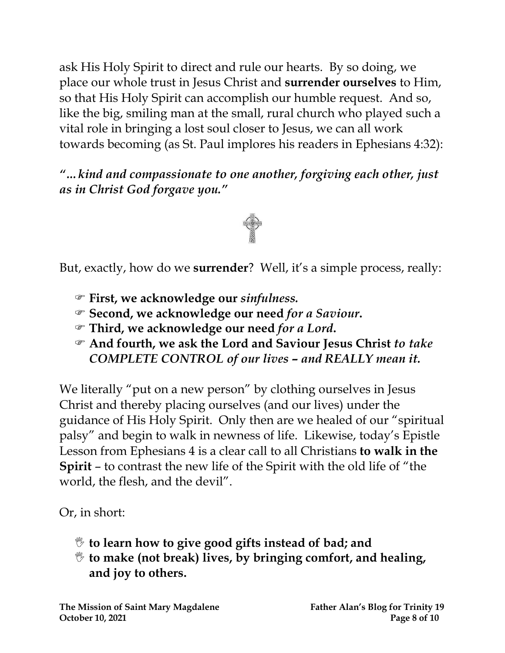ask His Holy Spirit to direct and rule our hearts. By so doing, we place our whole trust in Jesus Christ and **surrender ourselves** to Him, so that His Holy Spirit can accomplish our humble request. And so, like the big, smiling man at the small, rural church who played such a vital role in bringing a lost soul closer to Jesus, we can all work towards becoming (as St. Paul implores his readers in Ephesians 4:32):

*"…kind and compassionate to one another, forgiving each other, just as in Christ God forgave you."*



But, exactly, how do we **surrender**? Well, it's a simple process, really:

- **First, we acknowledge our** *sinfulness.*
- **Second, we acknowledge our need** *for a Saviour***.**
- **Third, we acknowledge our need** *for a Lord***.**
- **And fourth, we ask the Lord and Saviour Jesus Christ** *to take COMPLETE CONTROL of our lives* **–** *and REALLY mean it.*

We literally "put on a new person" by clothing ourselves in Jesus Christ and thereby placing ourselves (and our lives) under the guidance of His Holy Spirit. Only then are we healed of our "spiritual palsy" and begin to walk in newness of life. Likewise, today's Epistle Lesson from Ephesians 4 is a clear call to all Christians **to walk in the Spirit** – to contrast the new life of the Spirit with the old life of "the world, the flesh, and the devil".

Or, in short:

- **to learn how to give good gifts instead of bad; and**
- **to make (not break) lives, by bringing comfort, and healing, and joy to others.**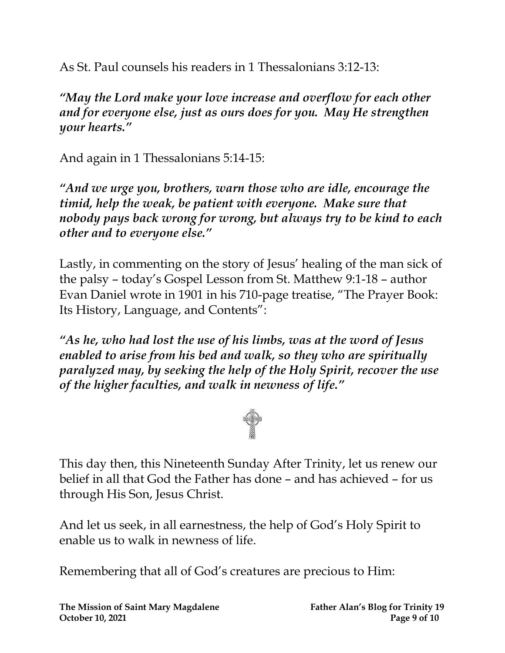As St. Paul counsels his readers in 1 Thessalonians 3:12-13:

*"May the Lord make your love increase and overflow for each other and for everyone else, just as ours does for you. May He strengthen your hearts."*

And again in 1 Thessalonians 5:14-15:

*"And we urge you, brothers, warn those who are idle, encourage the timid, help the weak, be patient with everyone. Make sure that nobody pays back wrong for wrong, but always try to be kind to each other and to everyone else."*

Lastly, in commenting on the story of Jesus' healing of the man sick of the palsy – today's Gospel Lesson from St. Matthew 9:1-18 – author Evan Daniel wrote in 1901 in his 710-page treatise, "The Prayer Book: Its History, Language, and Contents":

*"As he, who had lost the use of his limbs, was at the word of Jesus enabled to arise from his bed and walk, so they who are spiritually paralyzed may, by seeking the help of the Holy Spirit, recover the use of the higher faculties, and walk in newness of life."*



This day then, this Nineteenth Sunday After Trinity, let us renew our belief in all that God the Father has done – and has achieved – for us through His Son, Jesus Christ.

And let us seek, in all earnestness, the help of God's Holy Spirit to enable us to walk in newness of life.

Remembering that all of God's creatures are precious to Him: